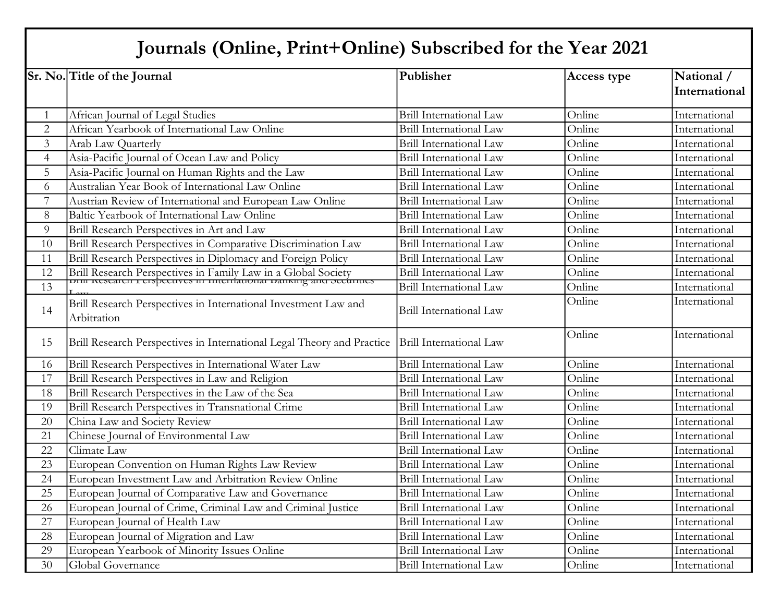## Journals (Online, Print+Online) Subscribed for the Year 2021

|                 | Sr. No. Title of the Journal                                                   | Publisher                      | Access type | National /<br>International |
|-----------------|--------------------------------------------------------------------------------|--------------------------------|-------------|-----------------------------|
| $\mathbf{1}$    | African Journal of Legal Studies                                               | <b>Brill International Law</b> | Online      | International               |
| $\overline{2}$  | African Yearbook of International Law Online                                   | <b>Brill International Law</b> | Online      | International               |
| $\overline{3}$  | Arab Law Quarterly                                                             | <b>Brill International Law</b> | Online      | International               |
| $\overline{4}$  | Asia-Pacific Journal of Ocean Law and Policy                                   | <b>Brill International Law</b> | Online      | International               |
| 5               | Asia-Pacific Journal on Human Rights and the Law                               | <b>Brill International Law</b> | Online      | International               |
| 6               | Australian Year Book of International Law Online                               | <b>Brill International Law</b> | Online      | International               |
| $\overline{7}$  | Austrian Review of International and European Law Online                       | <b>Brill International Law</b> | Online      | International               |
| $8\,$           | Baltic Yearbook of International Law Online                                    | <b>Brill International Law</b> | Online      | International               |
| 9               | Brill Research Perspectives in Art and Law                                     | <b>Brill International Law</b> | Online      | International               |
| 10              | Brill Research Perspectives in Comparative Discrimination Law                  | <b>Brill International Law</b> | Online      | International               |
| 11              | Brill Research Perspectives in Diplomacy and Foreign Policy                    | Brill International Law        | Online      | International               |
| 12              | Brill Research Perspectives in Family Law in a Global Society                  | <b>Brill International Law</b> | Online      | International               |
| $\overline{13}$ |                                                                                | <b>Brill International Law</b> | Online      | International               |
| 14              | Brill Research Perspectives in International Investment Law and<br>Arbitration | <b>Brill International Law</b> | Online      | International               |
| 15              | Brill Research Perspectives in International Legal Theory and Practice         | Brill International Law        | Online      | International               |
| 16              | Brill Research Perspectives in International Water Law                         | Brill International Law        | Online      | International               |
| 17              | Brill Research Perspectives in Law and Religion                                | <b>Brill International Law</b> | Online      | International               |
| 18              | Brill Research Perspectives in the Law of the Sea                              | <b>Brill International Law</b> | Online      | International               |
| 19              | Brill Research Perspectives in Transnational Crime                             | <b>Brill International Law</b> | Online      | International               |
| 20              | China Law and Society Review                                                   | <b>Brill International Law</b> | Online      | International               |
| 21              | Chinese Journal of Environmental Law                                           | <b>Brill International Law</b> | Online      | International               |
| 22              | Climate Law                                                                    | <b>Brill International Law</b> | Online      | International               |
| 23              | European Convention on Human Rights Law Review                                 | <b>Brill International Law</b> | Online      | International               |
| 24              | European Investment Law and Arbitration Review Online                          | <b>Brill International Law</b> | Online      | International               |
| 25              | European Journal of Comparative Law and Governance                             | <b>Brill International Law</b> | Online      | International               |
| 26              | European Journal of Crime, Criminal Law and Criminal Justice                   | <b>Brill International Law</b> | Online      | International               |
| 27              | European Journal of Health Law                                                 | <b>Brill International Law</b> | Online      | International               |
| 28              | European Journal of Migration and Law                                          | <b>Brill International Law</b> | Online      | International               |
| 29              | European Yearbook of Minority Issues Online                                    | <b>Brill International Law</b> | Online      | International               |
| 30              | Global Governance                                                              | Brill International Law        | Online      | International               |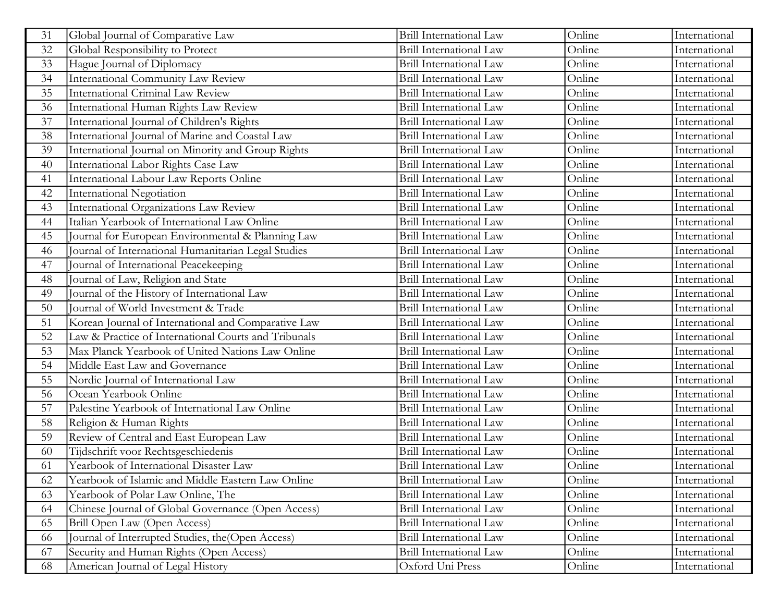| 31 | Global Journal of Comparative Law                    | <b>Brill International Law</b> | Online | International |
|----|------------------------------------------------------|--------------------------------|--------|---------------|
| 32 | Global Responsibility to Protect                     | <b>Brill International Law</b> | Online | International |
| 33 | Hague Journal of Diplomacy                           | <b>Brill International Law</b> | Online | International |
| 34 | International Community Law Review                   | <b>Brill International Law</b> | Online | International |
| 35 | <b>International Criminal Law Review</b>             | <b>Brill International Law</b> | Online | International |
| 36 | International Human Rights Law Review                | <b>Brill International Law</b> | Online | International |
| 37 | International Journal of Children's Rights           | <b>Brill International Law</b> | Online | International |
| 38 | International Journal of Marine and Coastal Law      | <b>Brill International Law</b> | Online | International |
| 39 | International Journal on Minority and Group Rights   | <b>Brill International Law</b> | Online | International |
| 40 | International Labor Rights Case Law                  | <b>Brill International Law</b> | Online | International |
| 41 | International Labour Law Reports Online              | <b>Brill International Law</b> | Online | International |
| 42 | International Negotiation                            | <b>Brill International Law</b> | Online | International |
| 43 | International Organizations Law Review               | <b>Brill International Law</b> | Online | International |
| 44 | Italian Yearbook of International Law Online         | <b>Brill International Law</b> | Online | International |
| 45 | Journal for European Environmental & Planning Law    | <b>Brill International Law</b> | Online | International |
| 46 | Journal of International Humanitarian Legal Studies  | Brill International Law        | Online | International |
| 47 | Journal of International Peacekeeping                | <b>Brill International Law</b> | Online | International |
| 48 | Journal of Law, Religion and State                   | <b>Brill International Law</b> | Online | International |
| 49 | Journal of the History of International Law          | Brill International Law        | Online | International |
| 50 | Journal of World Investment & Trade                  | <b>Brill International Law</b> | Online | International |
| 51 | Korean Journal of International and Comparative Law  | <b>Brill International Law</b> | Online | International |
| 52 | Law & Practice of International Courts and Tribunals | <b>Brill International Law</b> | Online | International |
| 53 | Max Planck Yearbook of United Nations Law Online     | <b>Brill International Law</b> | Online | International |
| 54 | Middle East Law and Governance                       | <b>Brill International Law</b> | Online | International |
| 55 | Nordic Journal of International Law                  | <b>Brill International Law</b> | Online | International |
| 56 | Ocean Yearbook Online                                | <b>Brill International Law</b> | Online | International |
| 57 | Palestine Yearbook of International Law Online       | <b>Brill International Law</b> | Online | International |
| 58 | Religion & Human Rights                              | <b>Brill International Law</b> | Online | International |
| 59 | Review of Central and East European Law              | <b>Brill International Law</b> | Online | International |
| 60 | Tijdschrift voor Rechtsgeschiedenis                  | <b>Brill International Law</b> | Online | International |
| 61 | Yearbook of International Disaster Law               | Brill International Law        | Online | International |
| 62 | Yearbook of Islamic and Middle Eastern Law Online    | <b>Brill International Law</b> | Online | International |
| 63 | Yearbook of Polar Law Online, The                    | <b>Brill International Law</b> | Online | International |
| 64 | Chinese Journal of Global Governance (Open Access)   | <b>Brill International Law</b> | Online | International |
| 65 | Brill Open Law (Open Access)                         | <b>Brill International Law</b> | Online | International |
| 66 | Journal of Interrupted Studies, the (Open Access)    | <b>Brill International Law</b> | Online | International |
| 67 | Security and Human Rights (Open Access)              | Brill International Law        | Online | International |
| 68 | American Journal of Legal History                    | Oxford Uni Press               | Online | International |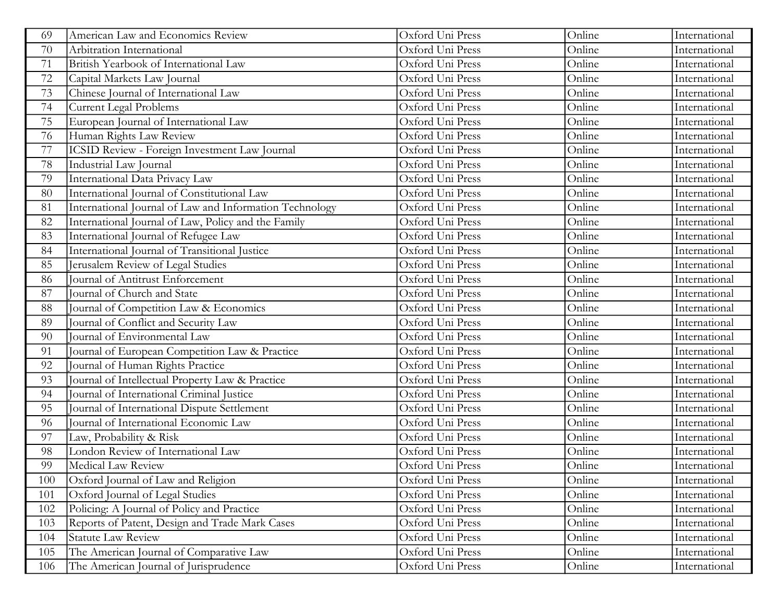| 69              | American Law and Economics Review                       | Oxford Uni Press | Online | International |
|-----------------|---------------------------------------------------------|------------------|--------|---------------|
| 70              | Arbitration International                               | Oxford Uni Press | Online | International |
| 71              | British Yearbook of International Law                   | Oxford Uni Press | Online | International |
| 72              | Capital Markets Law Journal                             | Oxford Uni Press | Online | International |
| 73              | Chinese Journal of International Law                    | Oxford Uni Press | Online | International |
| $\overline{74}$ | <b>Current Legal Problems</b>                           | Oxford Uni Press | Online | International |
| 75              | European Journal of International Law                   | Oxford Uni Press | Online | International |
| 76              | Human Rights Law Review                                 | Oxford Uni Press | Online | International |
| $\overline{77}$ | <b>ICSID Review - Foreign Investment Law Journal</b>    | Oxford Uni Press | Online | International |
| 78              | <b>Industrial Law Journal</b>                           | Oxford Uni Press | Online | International |
| 79              | <b>International Data Privacy Law</b>                   | Oxford Uni Press | Online | International |
| 80              | International Journal of Constitutional Law             | Oxford Uni Press | Online | International |
| 81              | International Journal of Law and Information Technology | Oxford Uni Press | Online | International |
| 82              | International Journal of Law, Policy and the Family     | Oxford Uni Press | Online | International |
| 83              | International Journal of Refugee Law                    | Oxford Uni Press | Online | International |
| 84              | International Journal of Transitional Justice           | Oxford Uni Press | Online | International |
| 85              | Jerusalem Review of Legal Studies                       | Oxford Uni Press | Online | International |
| 86              | Journal of Antitrust Enforcement                        | Oxford Uni Press | Online | International |
| 87              | Journal of Church and State                             | Oxford Uni Press | Online | International |
| 88              | Journal of Competition Law & Economics                  | Oxford Uni Press | Online | International |
| 89              | Journal of Conflict and Security Law                    | Oxford Uni Press | Online | International |
| 90              | Journal of Environmental Law                            | Oxford Uni Press | Online | International |
| 91              | Journal of European Competition Law & Practice          | Oxford Uni Press | Online | International |
| 92              | Journal of Human Rights Practice                        | Oxford Uni Press | Online | International |
| 93              | Journal of Intellectual Property Law & Practice         | Oxford Uni Press | Online | International |
| 94              | Journal of International Criminal Justice               | Oxford Uni Press | Online | International |
| 95              | Journal of International Dispute Settlement             | Oxford Uni Press | Online | International |
| 96              | Journal of International Economic Law                   | Oxford Uni Press | Online | International |
| 97              | Law, Probability & Risk                                 | Oxford Uni Press | Online | International |
| 98              | London Review of International Law                      | Oxford Uni Press | Online | International |
| 99              | Medical Law Review                                      | Oxford Uni Press | Online | International |
| 100             | Oxford Journal of Law and Religion                      | Oxford Uni Press | Online | International |
| 101             | Oxford Journal of Legal Studies                         | Oxford Uni Press | Online | International |
| 102             | Policing: A Journal of Policy and Practice              | Oxford Uni Press | Online | International |
| 103             | Reports of Patent, Design and Trade Mark Cases          | Oxford Uni Press | Online | International |
| 104             | <b>Statute Law Review</b>                               | Oxford Uni Press | Online | International |
| 105             | The American Journal of Comparative Law                 | Oxford Uni Press | Online | International |
| 106             | The American Journal of Jurisprudence                   | Oxford Uni Press | Online | International |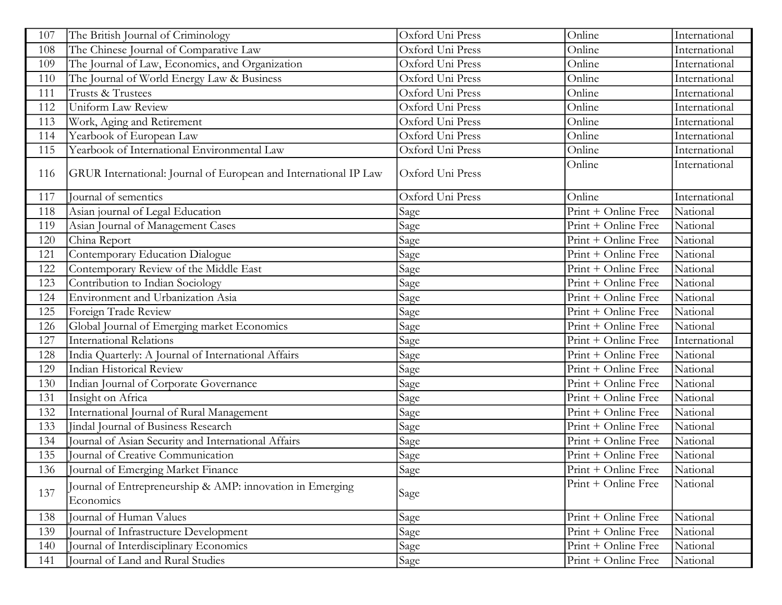| 107 | The British Journal of Criminology                                     | Oxford Uni Press   | Online                                                 | International |
|-----|------------------------------------------------------------------------|--------------------|--------------------------------------------------------|---------------|
| 108 | The Chinese Journal of Comparative Law                                 | Oxford Uni Press   | Online                                                 | International |
| 109 | The Journal of Law, Economics, and Organization                        | Oxford Uni Press   | Online                                                 | International |
| 110 | The Journal of World Energy Law & Business                             | Oxford Uni Press   | Online                                                 | International |
| 111 | Trusts & Trustees                                                      | Oxford Uni Press   | Online                                                 | International |
| 112 | Uniform Law Review                                                     | Oxford Uni Press   | Online                                                 | International |
| 113 | Work, Aging and Retirement                                             | Oxford Uni Press   | Online                                                 | International |
| 114 | Yearbook of European Law                                               | Oxford Uni Press   | Online                                                 | International |
| 115 | Yearbook of International Environmental Law                            | Oxford Uni Press   | Online                                                 | International |
| 116 | GRUR International: Journal of European and International IP Law       | Oxford Uni Press   | Online                                                 | International |
| 117 | Journal of sementics                                                   | Oxford Uni Press   | Online                                                 | International |
| 118 | Asian journal of Legal Education                                       | Sage               | Print + Online Free                                    | National      |
| 119 | Asian Journal of Management Cases                                      | Sage               | Print + Online Free                                    | National      |
| 120 | China Report                                                           | Sage               | Print + Online Free                                    | National      |
| 121 | Contemporary Education Dialogue                                        | Sage               | Print + Online Free                                    | National      |
| 122 | Contemporary Review of the Middle East                                 | Sage               | $\overline{\text{Print} + \text{Online} \text{ Free}}$ | National      |
| 123 | Contribution to Indian Sociology                                       | Sage               | Print + Online Free                                    | National      |
| 124 | Environment and Urbanization Asia                                      | Sage               | Print + Online Free                                    | National      |
| 125 | Foreign Trade Review                                                   | Sage               | Print + Online Free                                    | National      |
| 126 | Global Journal of Emerging market Economics                            | Sage               | Print + Online Free                                    | National      |
| 127 | <b>International Relations</b>                                         | Sage               | Print + Online Free                                    | International |
| 128 | India Quarterly: A Journal of International Affairs                    | Sage               | Print + Online Free                                    | National      |
| 129 | Indian Historical Review                                               | Sage               | $\overline{Print}$ + Online Free                       | National      |
| 130 | Indian Journal of Corporate Governance                                 | Sage               | Print + Online Free                                    | National      |
| 131 | Insight on Africa                                                      | Sage               | Print + Online Free                                    | National      |
| 132 | International Journal of Rural Management                              | $\overline{S}$ age | Print + Online Free                                    | National      |
| 133 | Jindal Journal of Business Research                                    | Sage               | Print + Online Free                                    | National      |
| 134 | Journal of Asian Security and International Affairs                    | Sage               | Print + Online Free                                    | National      |
| 135 | Journal of Creative Communication                                      | Sage               | Print + Online Free                                    | National      |
| 136 | Journal of Emerging Market Finance                                     | Sage               | Print + Online Free                                    | National      |
| 137 | Journal of Entrepreneurship & AMP: innovation in Emerging<br>Economics | Sage               | Print + Online Free                                    | National      |
| 138 | Journal of Human Values                                                | Sage               | Print + Online Free                                    | National      |
| 139 | Journal of Infrastructure Development                                  | Sage               | Print + Online Free                                    | National      |
| 140 | Journal of Interdisciplinary Economics                                 | Sage               | Print + Online Free                                    | National      |
| 141 | Journal of Land and Rural Studies                                      | Sage               | Print + Online Free                                    | National      |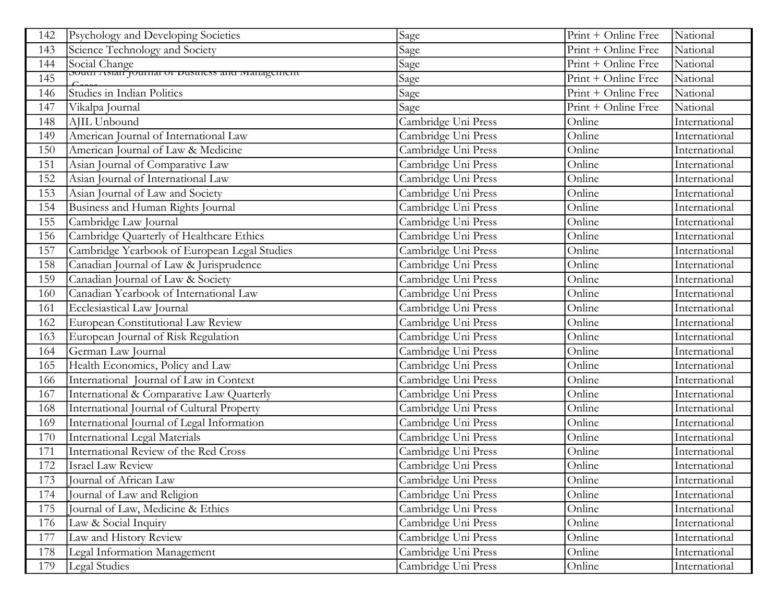| 142 | Psychology and Developing Societies                                  | Sage                | Print + Online Free              | National      |
|-----|----------------------------------------------------------------------|---------------------|----------------------------------|---------------|
| 143 | Science Technology and Society                                       | Sage                | Print + Online Free              | National      |
| 144 | Social Change<br>Social Change Countain of Dustriess and Inanagement | Sage                | Print + Online Free              | National      |
| 145 |                                                                      | Sage                | Print + Online Free              | National      |
| 146 | Studies in Indian Politics                                           | Sage                | Print + Online Free              | National      |
| 147 | Vikalpa Journal                                                      | Sage                | $\overline{Print}$ + Online Free | National      |
| 148 | AJIL Unbound                                                         | Cambridge Uni Press | Online                           | International |
| 149 | American Journal of International Law                                | Cambridge Uni Press | Online                           | International |
| 150 | American Journal of Law & Medicine                                   | Cambridge Uni Press | Online                           | International |
| 151 | Asian Journal of Comparative Law                                     | Cambridge Uni Press | Online                           | International |
| 152 | Asian Journal of International Law                                   | Cambridge Uni Press | Online                           | International |
| 153 | Asian Journal of Law and Society                                     | Cambridge Uni Press | Online                           | International |
| 154 | Business and Human Rights Journal                                    | Cambridge Uni Press | Online                           | International |
| 155 | Cambridge Law Journal                                                | Cambridge Uni Press | Online                           | International |
| 156 | Cambridge Quarterly of Healthcare Ethics                             | Cambridge Uni Press | Online                           | International |
| 157 | Cambridge Yearbook of European Legal Studies                         | Cambridge Uni Press | Online                           | International |
| 158 | Canadian Journal of Law & Jurisprudence                              | Cambridge Uni Press | Online                           | International |
| 159 | Canadian Journal of Law & Society                                    | Cambridge Uni Press | Online                           | International |
| 160 | Canadian Yearbook of International Law                               | Cambridge Uni Press | Online                           | International |
| 161 | Ecclesiastical Law Journal                                           | Cambridge Uni Press | Online                           | International |
| 162 | European Constitutional Law Review                                   | Cambridge Uni Press | Online                           | International |
| 163 | European Journal of Risk Regulation                                  | Cambridge Uni Press | Online                           | International |
| 164 | German Law Journal                                                   | Cambridge Uni Press | Online                           | International |
| 165 | Health Economics, Policy and Law                                     | Cambridge Uni Press | Online                           | International |
| 166 | International Journal of Law in Context                              | Cambridge Uni Press | Online                           | International |
| 167 | International & Comparative Law Quarterly                            | Cambridge Uni Press | Online                           | International |
| 168 | International Journal of Cultural Property                           | Cambridge Uni Press | Online                           | International |
| 169 | International Journal of Legal Information                           | Cambridge Uni Press | Online                           | International |
| 170 | <b>International Legal Materials</b>                                 | Cambridge Uni Press | Online                           | International |
| 171 | International Review of the Red Cross                                | Cambridge Uni Press | Online                           | International |
| 172 | <b>Israel Law Review</b>                                             | Cambridge Uni Press | Online                           | International |
| 173 | Journal of African Law                                               | Cambridge Uni Press | Online                           | International |
| 174 | Journal of Law and Religion                                          | Cambridge Uni Press | Online                           | International |
| 175 | Journal of Law, Medicine & Ethics                                    | Cambridge Uni Press | Online                           | International |
| 176 | Law & Social Inquiry                                                 | Cambridge Uni Press | Online                           | International |
| 177 | Law and History Review                                               | Cambridge Uni Press | Online                           | International |
| 178 | Legal Information Management                                         | Cambridge Uni Press | Online                           | International |
| 179 | <b>Legal Studies</b>                                                 | Cambridge Uni Press | Online                           | International |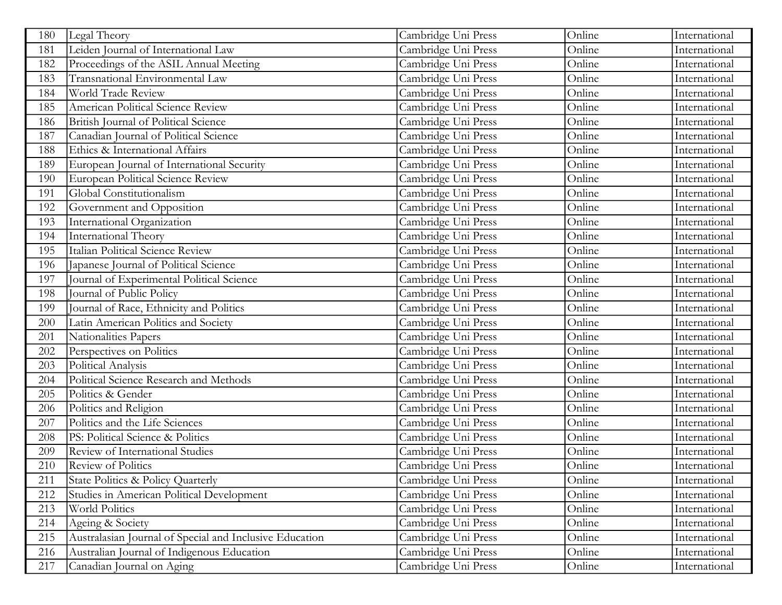| 180 | Legal Theory                                            | Cambridge Uni Press | Online | International |
|-----|---------------------------------------------------------|---------------------|--------|---------------|
| 181 | Leiden Journal of International Law                     | Cambridge Uni Press | Online | International |
| 182 | Proceedings of the ASIL Annual Meeting                  | Cambridge Uni Press | Online | International |
| 183 | <b>Transnational Environmental Law</b>                  | Cambridge Uni Press | Online | International |
| 184 | World Trade Review                                      | Cambridge Uni Press | Online | International |
| 185 | American Political Science Review                       | Cambridge Uni Press | Online | International |
| 186 | British Journal of Political Science                    | Cambridge Uni Press | Online | International |
| 187 | Canadian Journal of Political Science                   | Cambridge Uni Press | Online | International |
| 188 | Ethics & International Affairs                          | Cambridge Uni Press | Online | International |
| 189 | European Journal of International Security              | Cambridge Uni Press | Online | International |
| 190 | European Political Science Review                       | Cambridge Uni Press | Online | International |
| 191 | Global Constitutionalism                                | Cambridge Uni Press | Online | International |
| 192 | Government and Opposition                               | Cambridge Uni Press | Online | International |
| 193 | International Organization                              | Cambridge Uni Press | Online | International |
| 194 | <b>International Theory</b>                             | Cambridge Uni Press | Online | International |
| 195 | Italian Political Science Review                        | Cambridge Uni Press | Online | International |
| 196 | Japanese Journal of Political Science                   | Cambridge Uni Press | Online | International |
| 197 | Journal of Experimental Political Science               | Cambridge Uni Press | Online | International |
| 198 | Journal of Public Policy                                | Cambridge Uni Press | Online | International |
| 199 | Journal of Race, Ethnicity and Politics                 | Cambridge Uni Press | Online | International |
| 200 | Latin American Politics and Society                     | Cambridge Uni Press | Online | International |
| 201 | Nationalities Papers                                    | Cambridge Uni Press | Online | International |
| 202 | Perspectives on Politics                                | Cambridge Uni Press | Online | International |
| 203 | Political Analysis                                      | Cambridge Uni Press | Online | International |
| 204 | Political Science Research and Methods                  | Cambridge Uni Press | Online | International |
| 205 | Politics & Gender                                       | Cambridge Uni Press | Online | International |
| 206 | Politics and Religion                                   | Cambridge Uni Press | Online | International |
| 207 | Politics and the Life Sciences                          | Cambridge Uni Press | Online | International |
| 208 | PS: Political Science & Politics                        | Cambridge Uni Press | Online | International |
| 209 | Review of International Studies                         | Cambridge Uni Press | Online | International |
| 210 | <b>Review of Politics</b>                               | Cambridge Uni Press | Online | International |
| 211 | State Politics & Policy Quarterly                       | Cambridge Uni Press | Online | International |
| 212 | Studies in American Political Development               | Cambridge Uni Press | Online | International |
| 213 | World Politics                                          | Cambridge Uni Press | Online | International |
| 214 | Ageing & Society                                        | Cambridge Uni Press | Online | International |
| 215 | Australasian Journal of Special and Inclusive Education | Cambridge Uni Press | Online | International |
| 216 | Australian Journal of Indigenous Education              | Cambridge Uni Press | Online | International |
| 217 | Canadian Journal on Aging                               | Cambridge Uni Press | Online | International |